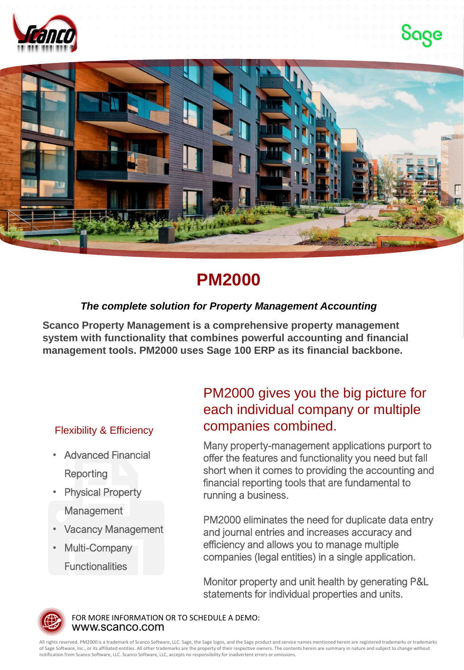





## **PM2000**

## *The complete solution for Property Management Accounting*

**Scanco Property Management is a comprehensive property management system with functionality that combines powerful accounting and financial management tools. PM2000 uses Sage 100 ERP as its financial backbone.**

## Flexibility & Efficiency

- Advanced Financial **Reporting**
- **Physical Property Management**
- Vacancy Management
- Multi-Company **Functionalities**

## PM2000 gives you the big picture for each individual company or multiple companies combined.

Many property-management applications purport to offer the features and functionality you need but fall short when it comes to providing the accounting and financial reporting tools that are fundamental to running a business.

PM2000 eliminates the need for duplicate data entry and journal entries and increases accuracy and efficiency and allows you to manage multiple companies (legal entities) in a single application.

Monitor property and unit health by generating P&L statements for individual properties and units.



www.scanco.com FOR MORE INFORMATION OR TO SCHEDULE A DEMO:

All rights reserved. PM2000 is a trademark of Scanco Software, LLC. Sage, the Sage logos, and the Sage product and service names mentioned herein are registered trademarks or trademarks of Sage Software, Inc., or its affiliated entities. All other trademarks are the property of their respective owners. The contents herein are summary in nature and subject to change without notification from Scanco Software, LLC. Scanco Software, LLC, accepts no responsibility for inadvertent errors or omissions.